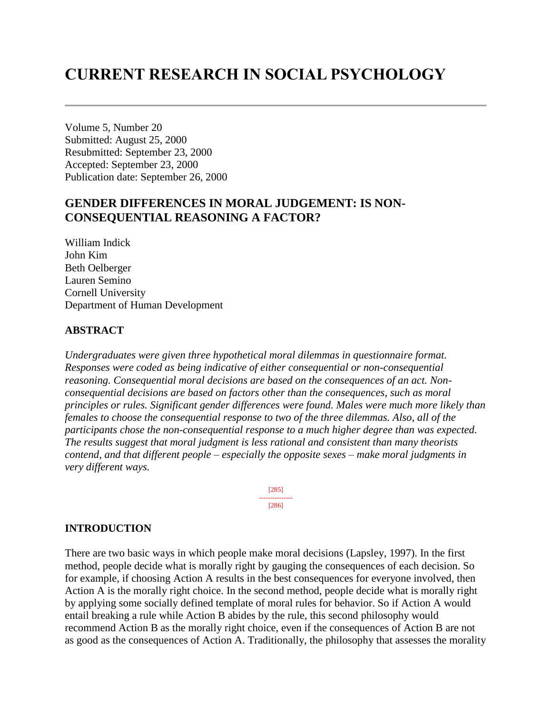# **CURRENT RESEARCH IN SOCIAL PSYCHOLOGY**

Volume 5, Number 20 Submitted: August 25, 2000 Resubmitted: September 23, 2000 Accepted: September 23, 2000 Publication date: September 26, 2000

# **GENDER DIFFERENCES IN MORAL JUDGEMENT: IS NON-CONSEQUENTIAL REASONING A FACTOR?**

William Indick John Kim Beth Oelberger Lauren Semino Cornell University Department of Human Development

### **ABSTRACT**

*Undergraduates were given three hypothetical moral dilemmas in questionnaire format. Responses were coded as being indicative of either consequential or non-consequential reasoning. Consequential moral decisions are based on the consequences of an act. Nonconsequential decisions are based on factors other than the consequences, such as moral principles or rules. Significant gender differences were found. Males were much more likely than females to choose the consequential response to two of the three dilemmas. Also, all of the participants chose the non-consequential response to a much higher degree than was expected. The results suggest that moral judgment is less rational and consistent than many theorists contend, and that different people – especially the opposite sexes – make moral judgments in very different ways.*

> [285] --------------- [286]

### **INTRODUCTION**

There are two basic ways in which people make moral decisions (Lapsley, 1997). In the first method, people decide what is morally right by gauging the consequences of each decision. So for example, if choosing Action A results in the best consequences for everyone involved, then Action A is the morally right choice. In the second method, people decide what is morally right by applying some socially defined template of moral rules for behavior. So if Action A would entail breaking a rule while Action B abides by the rule, this second philosophy would recommend Action B as the morally right choice, even if the consequences of Action B are not as good as the consequences of Action A. Traditionally, the philosophy that assesses the morality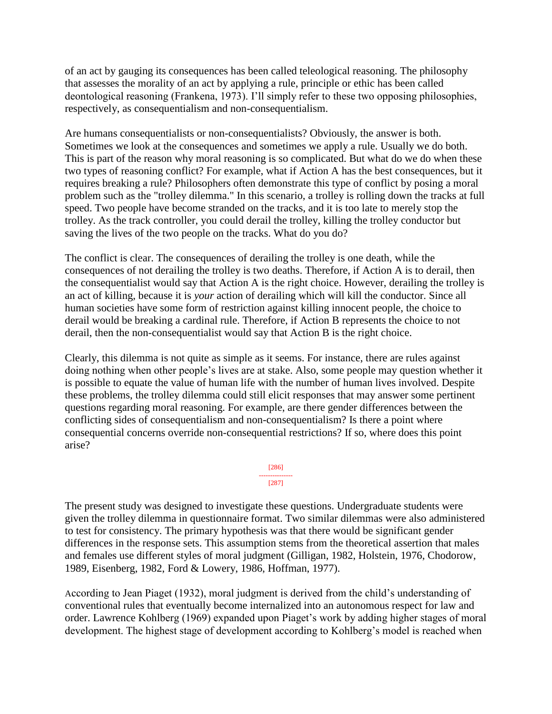of an act by gauging its consequences has been called teleological reasoning. The philosophy that assesses the morality of an act by applying a rule, principle or ethic has been called deontological reasoning (Frankena, 1973). I'll simply refer to these two opposing philosophies, respectively, as consequentialism and non-consequentialism.

Are humans consequentialists or non-consequentialists? Obviously, the answer is both. Sometimes we look at the consequences and sometimes we apply a rule. Usually we do both. This is part of the reason why moral reasoning is so complicated. But what do we do when these two types of reasoning conflict? For example, what if Action A has the best consequences, but it requires breaking a rule? Philosophers often demonstrate this type of conflict by posing a moral problem such as the "trolley dilemma." In this scenario, a trolley is rolling down the tracks at full speed. Two people have become stranded on the tracks, and it is too late to merely stop the trolley. As the track controller, you could derail the trolley, killing the trolley conductor but saving the lives of the two people on the tracks. What do you do?

The conflict is clear. The consequences of derailing the trolley is one death, while the consequences of not derailing the trolley is two deaths. Therefore, if Action A is to derail, then the consequentialist would say that Action A is the right choice. However, derailing the trolley is an act of killing, because it is *your* action of derailing which will kill the conductor. Since all human societies have some form of restriction against killing innocent people, the choice to derail would be breaking a cardinal rule. Therefore, if Action B represents the choice to not derail, then the non-consequentialist would say that Action B is the right choice.

Clearly, this dilemma is not quite as simple as it seems. For instance, there are rules against doing nothing when other people's lives are at stake. Also, some people may question whether it is possible to equate the value of human life with the number of human lives involved. Despite these problems, the trolley dilemma could still elicit responses that may answer some pertinent questions regarding moral reasoning. For example, are there gender differences between the conflicting sides of consequentialism and non-consequentialism? Is there a point where consequential concerns override non-consequential restrictions? If so, where does this point arise?

> [286] --------------- [287]

The present study was designed to investigate these questions. Undergraduate students were given the trolley dilemma in questionnaire format. Two similar dilemmas were also administered to test for consistency. The primary hypothesis was that there would be significant gender differences in the response sets. This assumption stems from the theoretical assertion that males and females use different styles of moral judgment (Gilligan, 1982, Holstein, 1976, Chodorow, 1989, Eisenberg, 1982, Ford & Lowery, 1986, Hoffman, 1977).

According to Jean Piaget (1932), moral judgment is derived from the child's understanding of conventional rules that eventually become internalized into an autonomous respect for law and order. Lawrence Kohlberg (1969) expanded upon Piaget's work by adding higher stages of moral development. The highest stage of development according to Kohlberg's model is reached when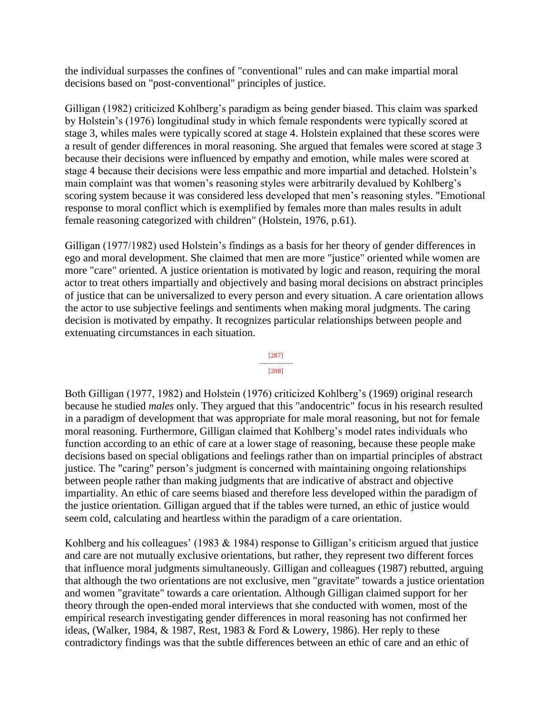the individual surpasses the confines of "conventional" rules and can make impartial moral decisions based on "post-conventional" principles of justice.

Gilligan (1982) criticized Kohlberg's paradigm as being gender biased. This claim was sparked by Holstein's (1976) longitudinal study in which female respondents were typically scored at stage 3, whiles males were typically scored at stage 4. Holstein explained that these scores were a result of gender differences in moral reasoning. She argued that females were scored at stage 3 because their decisions were influenced by empathy and emotion, while males were scored at stage 4 because their decisions were less empathic and more impartial and detached. Holstein's main complaint was that women's reasoning styles were arbitrarily devalued by Kohlberg's scoring system because it was considered less developed that men's reasoning styles. "Emotional response to moral conflict which is exemplified by females more than males results in adult female reasoning categorized with children" (Holstein, 1976, p.61).

Gilligan (1977/1982) used Holstein's findings as a basis for her theory of gender differences in ego and moral development. She claimed that men are more "justice" oriented while women are more "care" oriented. A justice orientation is motivated by logic and reason, requiring the moral actor to treat others impartially and objectively and basing moral decisions on abstract principles of justice that can be universalized to every person and every situation. A care orientation allows the actor to use subjective feelings and sentiments when making moral judgments. The caring decision is motivated by empathy. It recognizes particular relationships between people and extenuating circumstances in each situation.

#### [287] --------------- [288]

Both Gilligan (1977, 1982) and Holstein (1976) criticized Kohlberg's (1969) original research because he studied *males* only. They argued that this "andocentric" focus in his research resulted in a paradigm of development that was appropriate for male moral reasoning, but not for female moral reasoning. Furthermore, Gilligan claimed that Kohlberg's model rates individuals who function according to an ethic of care at a lower stage of reasoning, because these people make decisions based on special obligations and feelings rather than on impartial principles of abstract justice. The "caring" person's judgment is concerned with maintaining ongoing relationships between people rather than making judgments that are indicative of abstract and objective impartiality. An ethic of care seems biased and therefore less developed within the paradigm of the justice orientation. Gilligan argued that if the tables were turned, an ethic of justice would seem cold, calculating and heartless within the paradigm of a care orientation.

Kohlberg and his colleagues' (1983  $\&$  1984) response to Gilligan's criticism argued that justice and care are not mutually exclusive orientations, but rather, they represent two different forces that influence moral judgments simultaneously. Gilligan and colleagues (1987) rebutted, arguing that although the two orientations are not exclusive, men "gravitate" towards a justice orientation and women "gravitate" towards a care orientation. Although Gilligan claimed support for her theory through the open-ended moral interviews that she conducted with women, most of the empirical research investigating gender differences in moral reasoning has not confirmed her ideas, (Walker, 1984, & 1987, Rest, 1983 & Ford & Lowery, 1986). Her reply to these contradictory findings was that the subtle differences between an ethic of care and an ethic of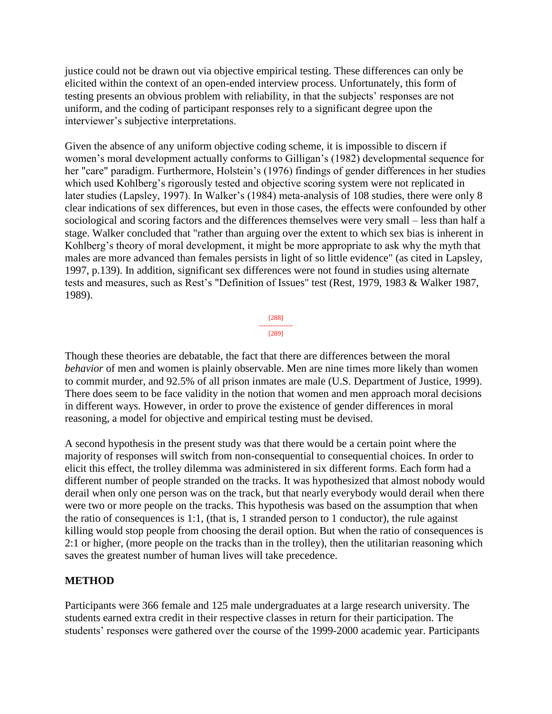justice could not be drawn out via objective empirical testing. These differences can only be elicited within the context of an open-ended interview process. Unfortunately, this form of testing presents an obvious problem with reliability, in that the subjects' responses are not uniform, and the coding of participant responses rely to a significant degree upon the interviewer's subjective interpretations.

Given the absence of any uniform objective coding scheme, it is impossible to discern if women's moral development actually conforms to Gilligan's (1982) developmental sequence for her "care" paradigm. Furthermore, Holstein's (1976) findings of gender differences in her studies which used Kohlberg's rigorously tested and objective scoring system were not replicated in later studies (Lapsley, 1997). In Walker's (1984) meta-analysis of 108 studies, there were only 8 clear indications of sex differences, but even in those cases, the effects were confounded by other sociological and scoring factors and the differences themselves were very small – less than half a stage. Walker concluded that "rather than arguing over the extent to which sex bias is inherent in Kohlberg's theory of moral development, it might be more appropriate to ask why the myth that males are more advanced than females persists in light of so little evidence" (as cited in Lapsley, 1997, p.139). In addition, significant sex differences were not found in studies using alternate tests and measures, such as Rest's "Definition of Issues" test (Rest, 1979, 1983 & Walker 1987, 1989).



Though these theories are debatable, the fact that there are differences between the moral *behavior* of men and women is plainly observable. Men are nine times more likely than women to commit murder, and 92.5% of all prison inmates are male (U.S. Department of Justice, 1999). There does seem to be face validity in the notion that women and men approach moral decisions in different ways. However, in order to prove the existence of gender differences in moral reasoning, a model for objective and empirical testing must be devised.

A second hypothesis in the present study was that there would be a certain point where the majority of responses will switch from non-consequential to consequential choices. In order to elicit this effect, the trolley dilemma was administered in six different forms. Each form had a different number of people stranded on the tracks. It was hypothesized that almost nobody would derail when only one person was on the track, but that nearly everybody would derail when there were two or more people on the tracks. This hypothesis was based on the assumption that when the ratio of consequences is 1:1, (that is, 1 stranded person to 1 conductor), the rule against killing would stop people from choosing the derail option. But when the ratio of consequences is 2:1 or higher, (more people on the tracks than in the trolley), then the utilitarian reasoning which saves the greatest number of human lives will take precedence.

### **METHOD**

Participants were 366 female and 125 male undergraduates at a large research university. The students earned extra credit in their respective classes in return for their participation. The students' responses were gathered over the course of the 1999-2000 academic year. Participants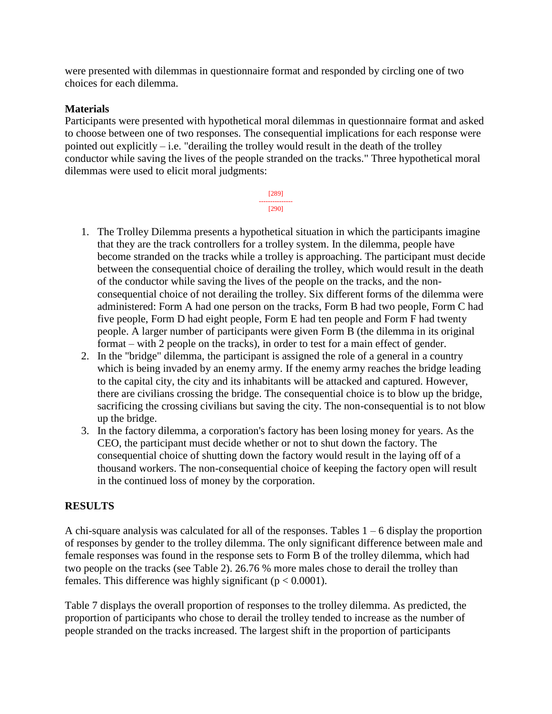were presented with dilemmas in questionnaire format and responded by circling one of two choices for each dilemma.

### **Materials**

Participants were presented with hypothetical moral dilemmas in questionnaire format and asked to choose between one of two responses. The consequential implications for each response were pointed out explicitly  $-$  i.e. "derailing the trolley would result in the death of the trolley conductor while saving the lives of the people stranded on the tracks." Three hypothetical moral dilemmas were used to elicit moral judgments:

> [289] --------------- [290]

- 1. The Trolley Dilemma presents a hypothetical situation in which the participants imagine that they are the track controllers for a trolley system. In the dilemma, people have become stranded on the tracks while a trolley is approaching. The participant must decide between the consequential choice of derailing the trolley, which would result in the death of the conductor while saving the lives of the people on the tracks, and the nonconsequential choice of not derailing the trolley. Six different forms of the dilemma were administered: Form A had one person on the tracks, Form B had two people, Form C had five people, Form D had eight people, Form E had ten people and Form F had twenty people. A larger number of participants were given Form B (the dilemma in its original format – with 2 people on the tracks), in order to test for a main effect of gender.
- 2. In the "bridge" dilemma, the participant is assigned the role of a general in a country which is being invaded by an enemy army. If the enemy army reaches the bridge leading to the capital city, the city and its inhabitants will be attacked and captured. However, there are civilians crossing the bridge. The consequential choice is to blow up the bridge, sacrificing the crossing civilians but saving the city. The non-consequential is to not blow up the bridge.
- 3. In the factory dilemma, a corporation's factory has been losing money for years. As the CEO, the participant must decide whether or not to shut down the factory. The consequential choice of shutting down the factory would result in the laying off of a thousand workers. The non-consequential choice of keeping the factory open will result in the continued loss of money by the corporation.

### **RESULTS**

A chi-square analysis was calculated for all of the responses. Tables  $1 - 6$  display the proportion of responses by gender to the trolley dilemma. The only significant difference between male and female responses was found in the response sets to Form B of the trolley dilemma, which had two people on the tracks (see Table 2). 26.76 % more males chose to derail the trolley than females. This difference was highly significant ( $p < 0.0001$ ).

Table 7 displays the overall proportion of responses to the trolley dilemma. As predicted, the proportion of participants who chose to derail the trolley tended to increase as the number of people stranded on the tracks increased. The largest shift in the proportion of participants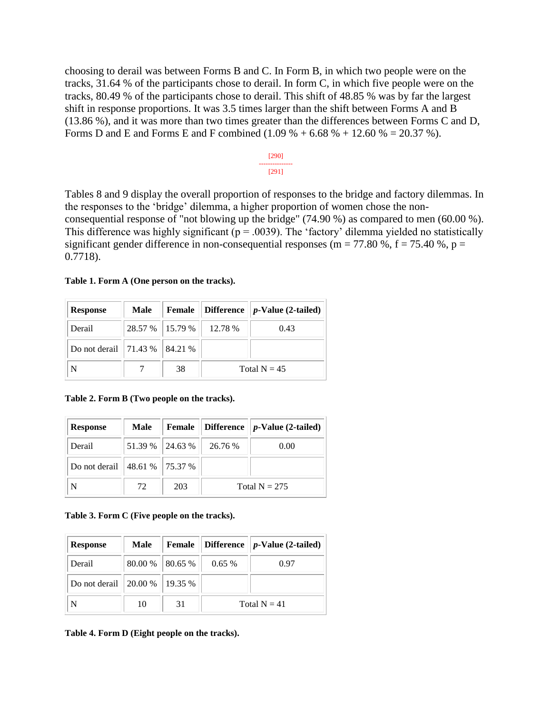choosing to derail was between Forms B and C. In Form B, in which two people were on the tracks, 31.64 % of the participants chose to derail. In form C, in which five people were on the tracks, 80.49 % of the participants chose to derail. This shift of 48.85 % was by far the largest shift in response proportions. It was 3.5 times larger than the shift between Forms A and B (13.86 %), and it was more than two times greater than the differences between Forms C and D, Forms D and E and Forms E and F combined  $(1.09 \% + 6.68 \% + 12.60 % = 20.37 %)$ .



Tables 8 and 9 display the overall proportion of responses to the bridge and factory dilemmas. In the responses to the 'bridge' dilemma, a higher proportion of women chose the nonconsequential response of "not blowing up the bridge" (74.90 %) as compared to men (60.00 %). This difference was highly significant ( $p = .0039$ ). The 'factory' dilemma yielded no statistically significant gender difference in non-consequential responses (m = 77.80 %, f = 75.40 %, p = 0.7718).

|  |  |  | Table 1. Form A (One person on the tracks). |
|--|--|--|---------------------------------------------|
|--|--|--|---------------------------------------------|

| <b>Response</b>                   | Male | Female |                             | Difference $  p\text{-Value} (2\text{-tailed})  $ |
|-----------------------------------|------|--------|-----------------------------|---------------------------------------------------|
| Derail                            |      |        | 28.57 %   15.79 %   12.78 % | 0.43                                              |
| Do not derail   71.43 %   84.21 % |      |        |                             |                                                   |
| N                                 |      | 38     | Total $N = 45$              |                                                   |

**Table 2. Form B (Two people on the tracks).**

| <b>Response</b> | Male                                    | Female            |                 | Difference $  p\text{-Value} (2\text{-tailed})$ |
|-----------------|-----------------------------------------|-------------------|-----------------|-------------------------------------------------|
| Derail          |                                         | $51.39\%$ 24.63 % | 26.76 %         | 0.00                                            |
| Do not derail   | $\parallel$ 48.61 % $\parallel$ 75.37 % |                   |                 |                                                 |
| N               | 72                                      | 203               | Total $N = 275$ |                                                 |

**Table 3. Form C (Five people on the tracks).**

| <b>Response</b>                   | Male |                   |                | <b>Female</b>   Difference   $p$ -Value (2-tailed) |
|-----------------------------------|------|-------------------|----------------|----------------------------------------------------|
| Derail                            |      | 80.00 %   80.65 % | $0.65\%$       | 0.97                                               |
| Do not derail   20.00 %   19.35 % |      |                   |                |                                                    |
| N                                 | 10   | 31                | Total $N = 41$ |                                                    |

**Table 4. Form D (Eight people on the tracks).**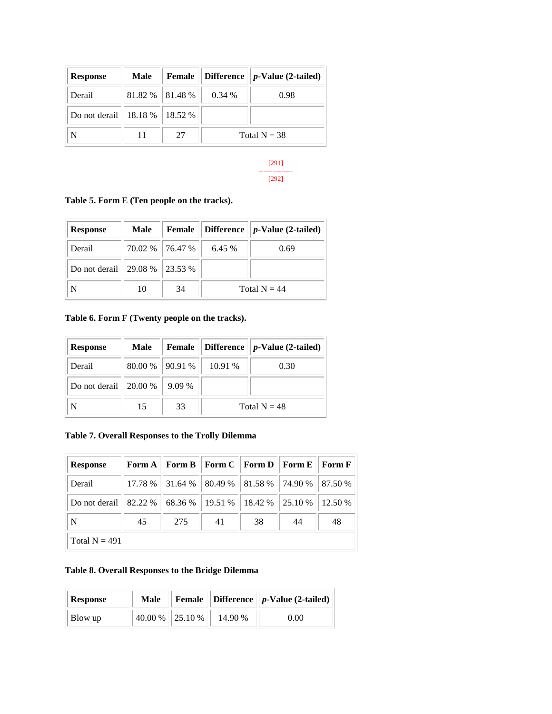| <b>Response</b>                   | Male                | Female |                | Difference $  p\text{-Value} (2\text{-tailed})  $ |
|-----------------------------------|---------------------|--------|----------------|---------------------------------------------------|
| Derail                            | $81.82\%$   81.48 % |        | 0.34%          | 0.98                                              |
| Do not derail   18.18 %   18.52 % |                     |        |                |                                                   |
| N                                 |                     | 27     | Total $N = 38$ |                                                   |

#### [291] --------------- [292]

**Table 5. Form E (Ten people on the tracks).**

| <b>Response</b>                               | Male | Female            |                | Difference $  p\text{-Value} (2\text{-tailed})  $ |
|-----------------------------------------------|------|-------------------|----------------|---------------------------------------------------|
| Derail                                        |      | 70.02 % 76.47 % 1 | 6.45 %         | 0.69                                              |
| Do not derail $\vert$ 29.08 % $\vert$ 23.53 % |      |                   |                |                                                   |
| N                                             | 10   | 34                | Total $N = 44$ |                                                   |

### **Table 6. Form F (Twenty people on the tracks).**

| <b>Response</b> | Male      | Female  |                | Difference $  p\text{-Value} (2\text{-tailed})$ |
|-----------------|-----------|---------|----------------|-------------------------------------------------|
| Derail          | $80.00\%$ | 190.91% | 10.91 %        | 0.30                                            |
| Do not derail   | 120.00%   | 9.09 %  |                |                                                 |
| N               | 15        | 33      | Total $N = 48$ |                                                 |

### **Table 7. Overall Responses to the Trolly Dilemma**

| <b>Response</b> |    |     | Form A    Form B    Form C    Form D    Form E    |    |    | Form F  |
|-----------------|----|-----|---------------------------------------------------|----|----|---------|
| Derail          |    |     | 17.78 % 31.64 % 80.49 % 81.58 % 74.90 % 87.50 %   |    |    |         |
| Do not derail   |    |     | $82.22\%$   68.36 %   19.51 %   18.42 %   25.10 % |    |    | 12.50 % |
| N               | 45 | 275 | 41                                                | 38 | 44 | 48      |
| Total $N = 491$ |    |     |                                                   |    |    |         |

### **Table 8. Overall Responses to the Bridge Dilemma**

| Response | Male            |         | <b>Female</b> Difference $\ p\text{-Value}(\text{2-tailed})\ $ |
|----------|-----------------|---------|----------------------------------------------------------------|
| Blow up  | 40.00 % 25.10 % | 14.90 % | 0.00                                                           |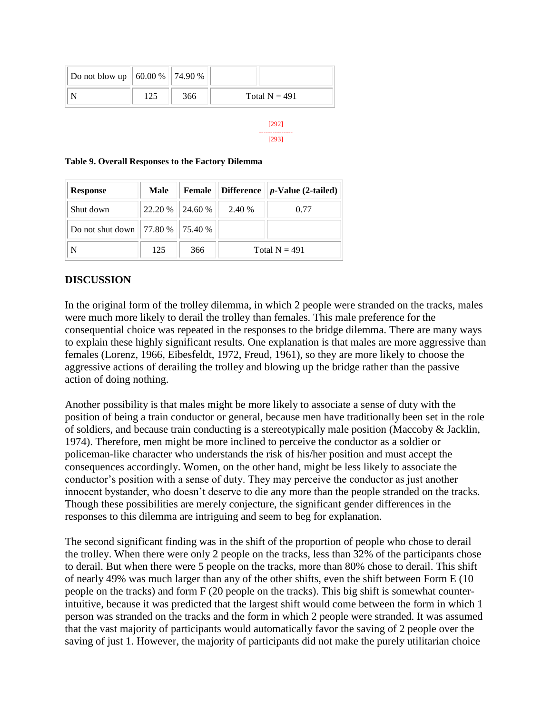| Do not blow up    60.00 %    74.90 % |     |     |                 |
|--------------------------------------|-----|-----|-----------------|
|                                      | 125 | 366 | Total $N = 491$ |

[292] --------------- [293]

**Table 9. Overall Responses to the Factory Dilemma**

| <b>Response</b>                      | Male |                 | <b>Female</b> Difference | $ p$ -Value (2-tailed) |
|--------------------------------------|------|-----------------|--------------------------|------------------------|
| Shut down                            |      | 22.20 % 24.60 % | 2.40 %                   | 0.77                   |
| Do not shut down   77.80 %   75.40 % |      |                 |                          |                        |
| N                                    | 125  | 366             | Total $N = 491$          |                        |

### **DISCUSSION**

In the original form of the trolley dilemma, in which 2 people were stranded on the tracks, males were much more likely to derail the trolley than females. This male preference for the consequential choice was repeated in the responses to the bridge dilemma. There are many ways to explain these highly significant results. One explanation is that males are more aggressive than females (Lorenz, 1966, Eibesfeldt, 1972, Freud, 1961), so they are more likely to choose the aggressive actions of derailing the trolley and blowing up the bridge rather than the passive action of doing nothing.

Another possibility is that males might be more likely to associate a sense of duty with the position of being a train conductor or general, because men have traditionally been set in the role of soldiers, and because train conducting is a stereotypically male position (Maccoby & Jacklin, 1974). Therefore, men might be more inclined to perceive the conductor as a soldier or policeman-like character who understands the risk of his/her position and must accept the consequences accordingly. Women, on the other hand, might be less likely to associate the conductor's position with a sense of duty. They may perceive the conductor as just another innocent bystander, who doesn't deserve to die any more than the people stranded on the tracks. Though these possibilities are merely conjecture, the significant gender differences in the responses to this dilemma are intriguing and seem to beg for explanation.

The second significant finding was in the shift of the proportion of people who chose to derail the trolley. When there were only 2 people on the tracks, less than 32% of the participants chose to derail. But when there were 5 people on the tracks, more than 80% chose to derail. This shift of nearly 49% was much larger than any of the other shifts, even the shift between Form E (10 people on the tracks) and form F (20 people on the tracks). This big shift is somewhat counterintuitive, because it was predicted that the largest shift would come between the form in which 1 person was stranded on the tracks and the form in which 2 people were stranded. It was assumed that the vast majority of participants would automatically favor the saving of 2 people over the saving of just 1. However, the majority of participants did not make the purely utilitarian choice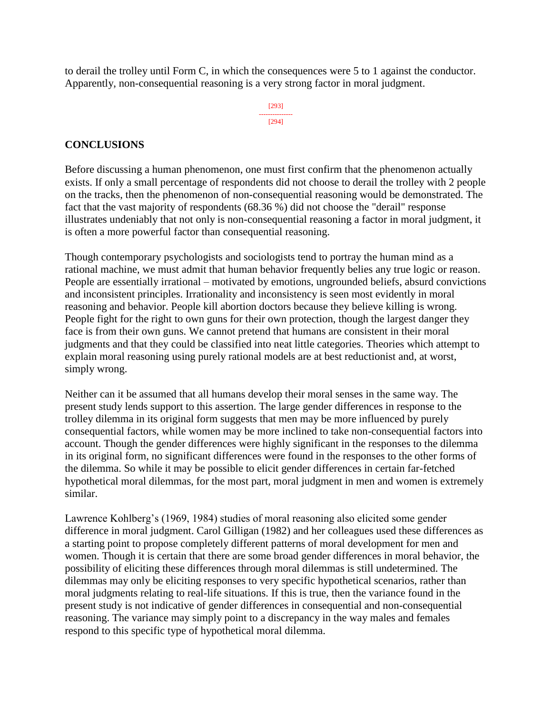to derail the trolley until Form C, in which the consequences were 5 to 1 against the conductor. Apparently, non-consequential reasoning is a very strong factor in moral judgment.

> [293] --------------- [294]

### **CONCLUSIONS**

Before discussing a human phenomenon, one must first confirm that the phenomenon actually exists. If only a small percentage of respondents did not choose to derail the trolley with 2 people on the tracks, then the phenomenon of non-consequential reasoning would be demonstrated. The fact that the vast majority of respondents (68.36 %) did not choose the "derail" response illustrates undeniably that not only is non-consequential reasoning a factor in moral judgment, it is often a more powerful factor than consequential reasoning.

Though contemporary psychologists and sociologists tend to portray the human mind as a rational machine, we must admit that human behavior frequently belies any true logic or reason. People are essentially irrational – motivated by emotions, ungrounded beliefs, absurd convictions and inconsistent principles. Irrationality and inconsistency is seen most evidently in moral reasoning and behavior. People kill abortion doctors because they believe killing is wrong. People fight for the right to own guns for their own protection, though the largest danger they face is from their own guns. We cannot pretend that humans are consistent in their moral judgments and that they could be classified into neat little categories. Theories which attempt to explain moral reasoning using purely rational models are at best reductionist and, at worst, simply wrong.

Neither can it be assumed that all humans develop their moral senses in the same way. The present study lends support to this assertion. The large gender differences in response to the trolley dilemma in its original form suggests that men may be more influenced by purely consequential factors, while women may be more inclined to take non-consequential factors into account. Though the gender differences were highly significant in the responses to the dilemma in its original form, no significant differences were found in the responses to the other forms of the dilemma. So while it may be possible to elicit gender differences in certain far-fetched hypothetical moral dilemmas, for the most part, moral judgment in men and women is extremely similar.

Lawrence Kohlberg's (1969, 1984) studies of moral reasoning also elicited some gender difference in moral judgment. Carol Gilligan (1982) and her colleagues used these differences as a starting point to propose completely different patterns of moral development for men and women. Though it is certain that there are some broad gender differences in moral behavior, the possibility of eliciting these differences through moral dilemmas is still undetermined. The dilemmas may only be eliciting responses to very specific hypothetical scenarios, rather than moral judgments relating to real-life situations. If this is true, then the variance found in the present study is not indicative of gender differences in consequential and non-consequential reasoning. The variance may simply point to a discrepancy in the way males and females respond to this specific type of hypothetical moral dilemma.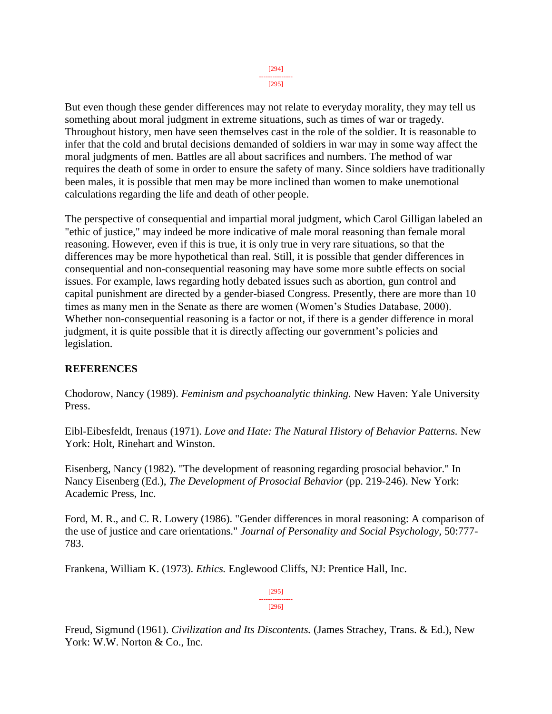But even though these gender differences may not relate to everyday morality, they may tell us something about moral judgment in extreme situations, such as times of war or tragedy. Throughout history, men have seen themselves cast in the role of the soldier. It is reasonable to infer that the cold and brutal decisions demanded of soldiers in war may in some way affect the moral judgments of men. Battles are all about sacrifices and numbers. The method of war requires the death of some in order to ensure the safety of many. Since soldiers have traditionally been males, it is possible that men may be more inclined than women to make unemotional calculations regarding the life and death of other people.

The perspective of consequential and impartial moral judgment, which Carol Gilligan labeled an "ethic of justice," may indeed be more indicative of male moral reasoning than female moral reasoning. However, even if this is true, it is only true in very rare situations, so that the differences may be more hypothetical than real. Still, it is possible that gender differences in consequential and non-consequential reasoning may have some more subtle effects on social issues. For example, laws regarding hotly debated issues such as abortion, gun control and capital punishment are directed by a gender-biased Congress. Presently, there are more than 10 times as many men in the Senate as there are women (Women's Studies Database, 2000). Whether non-consequential reasoning is a factor or not, if there is a gender difference in moral judgment, it is quite possible that it is directly affecting our government's policies and legislation.

### **REFERENCES**

Chodorow, Nancy (1989). *Feminism and psychoanalytic thinking.* New Haven: Yale University Press.

Eibl-Eibesfeldt, Irenaus (1971). *Love and Hate: The Natural History of Behavior Patterns.* New York: Holt, Rinehart and Winston.

Eisenberg, Nancy (1982). "The development of reasoning regarding prosocial behavior." In Nancy Eisenberg (Ed.), *The Development of Prosocial Behavior* (pp. 219-246). New York: Academic Press, Inc.

Ford, M. R., and C. R. Lowery (1986). "Gender differences in moral reasoning: A comparison of the use of justice and care orientations." *Journal of Personality and Social Psychology,* 50:777- 783.

Frankena, William K. (1973). *Ethics.* Englewood Cliffs, NJ: Prentice Hall, Inc.

[295] --------------- [296]

Freud, Sigmund (1961). *Civilization and Its Discontents.* (James Strachey, Trans. & Ed.), New York: W.W. Norton & Co., Inc.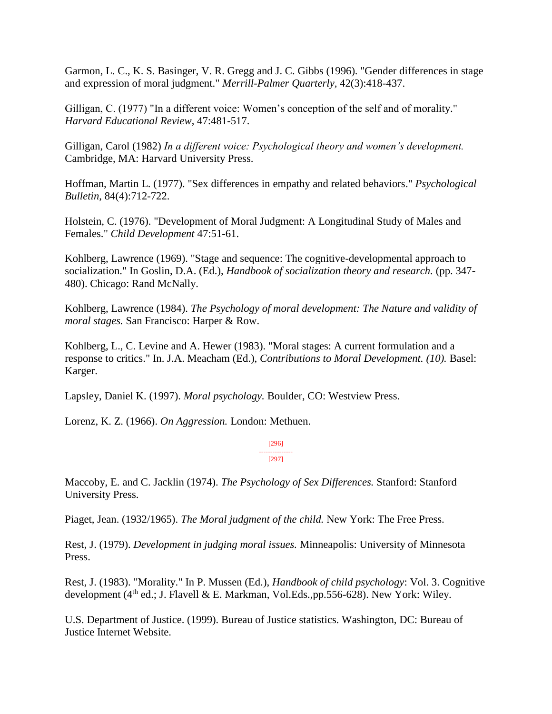Garmon, L. C., K. S. Basinger, V. R. Gregg and J. C. Gibbs (1996). "Gender differences in stage and expression of moral judgment." *Merrill-Palmer Quarterly,* 42(3):418-437.

Gilligan, C. (1977) "In a different voice: Women's conception of the self and of morality." *Harvard Educational Review*, 47:481-517.

Gilligan, Carol (1982) *In a different voice: Psychological theory and women's development.*  Cambridge, MA: Harvard University Press.

Hoffman, Martin L. (1977). "Sex differences in empathy and related behaviors." *Psychological Bulletin*, 84(4):712-722.

Holstein, C. (1976). "Development of Moral Judgment: A Longitudinal Study of Males and Females." *Child Development* 47:51-61.

Kohlberg, Lawrence (1969). "Stage and sequence: The cognitive-developmental approach to socialization." In Goslin, D.A. (Ed.), *Handbook of socialization theory and research.* (pp. 347- 480). Chicago: Rand McNally.

Kohlberg, Lawrence (1984). *The Psychology of moral development: The Nature and validity of moral stages.* San Francisco: Harper & Row.

Kohlberg, L., C. Levine and A. Hewer (1983). "Moral stages: A current formulation and a response to critics." In. J.A. Meacham (Ed.), *Contributions to Moral Development. (10).* Basel: Karger.

Lapsley, Daniel K. (1997). *Moral psychology.* Boulder, CO: Westview Press.

Lorenz, K. Z. (1966). *On Aggression.* London: Methuen.

[296] --------------- [297]

Maccoby, E. and C. Jacklin (1974). *The Psychology of Sex Differences.* Stanford: Stanford University Press.

Piaget, Jean. (1932/1965). *The Moral judgment of the child.* New York: The Free Press.

Rest, J. (1979). *Development in judging moral issues.* Minneapolis: University of Minnesota Press.

Rest, J. (1983). "Morality." In P. Mussen (Ed.), *Handbook of child psychology*: Vol. 3. Cognitive development  $(4^{th}$  ed.; J. Flavell & E. Markman, Vol.Eds.,pp.556-628). New York: Wiley.

U.S. Department of Justice. (1999). Bureau of Justice statistics. Washington, DC: Bureau of Justice Internet Website.